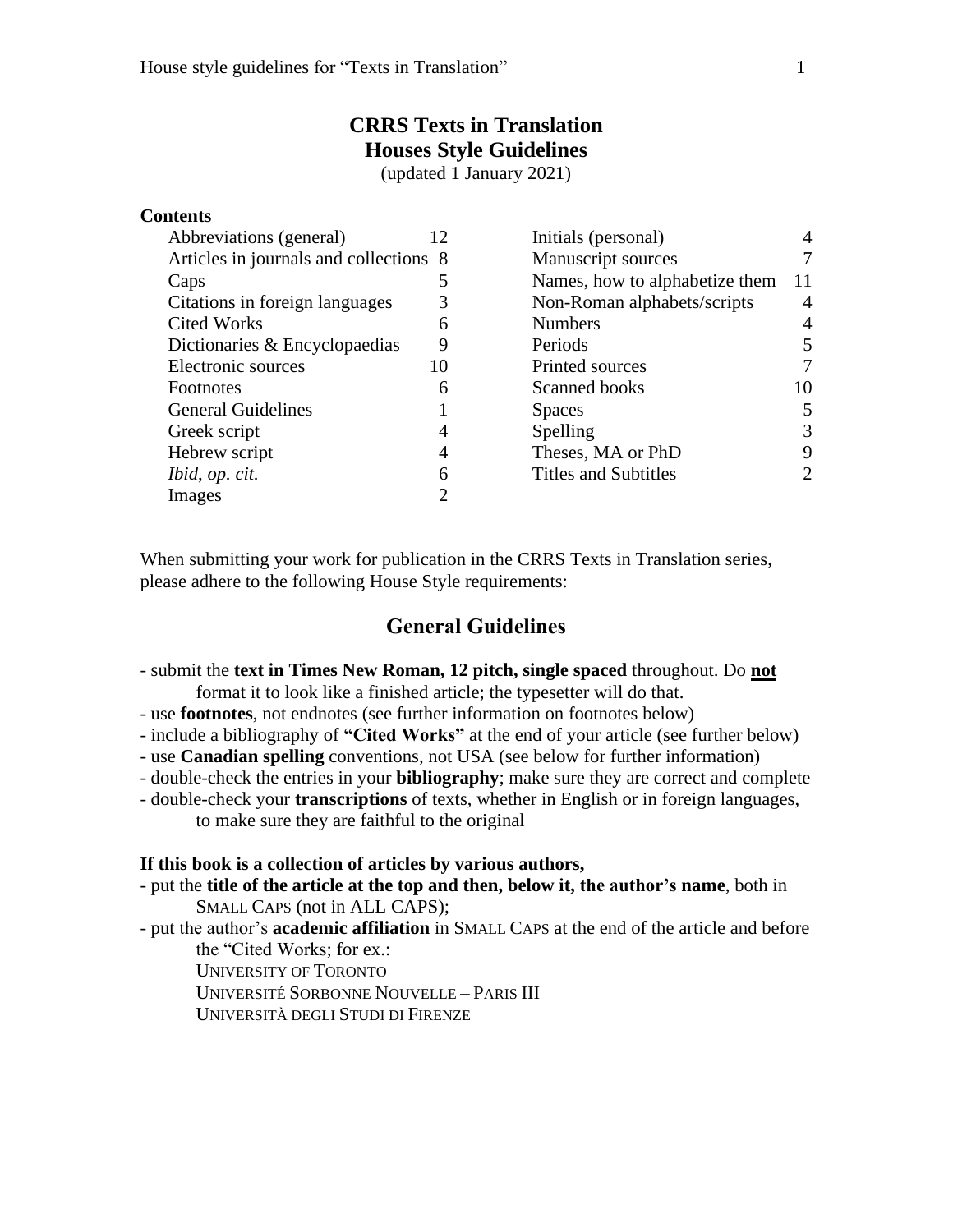# **CRRS Texts in Translation Houses Style Guidelines**

(updated 1 January 2021)

### **Contents**

| 12                                     | Initials (personal)            | 4  |
|----------------------------------------|--------------------------------|----|
| Articles in journals and collections 8 | Manuscript sources             |    |
| 5                                      | Names, how to alphabetize them | 11 |
| 3                                      | Non-Roman alphabets/scripts    | 4  |
| 6                                      | <b>Numbers</b>                 | 4  |
| 9                                      | Periods                        | 5  |
| 10                                     | Printed sources                |    |
| 6                                      | Scanned books                  | 10 |
|                                        | <b>Spaces</b>                  | 5  |
| 4                                      | Spelling                       | 3  |
| 4                                      | Theses, MA or PhD              | 9  |
| 6                                      | <b>Titles and Subtitles</b>    | 2  |
| റ                                      |                                |    |
|                                        |                                |    |

When submitting your work for publication in the CRRS Texts in Translation series, please adhere to the following House Style requirements:

# **General Guidelines**

- submit the **text in Times New Roman, 12 pitch, single spaced** throughout. Do **not** format it to look like a finished article; the typesetter will do that.
- use **footnotes**, not endnotes (see further information on footnotes below)
- include a bibliography of **"Cited Works"** at the end of your article (see further below)
- use **Canadian spelling** conventions, not USA (see below for further information)
- double-check the entries in your **bibliography**; make sure they are correct and complete
- double-check your **transcriptions** of texts, whether in English or in foreign languages, to make sure they are faithful to the original

#### **If this book is a collection of articles by various authors,**

- put the **title of the article at the top and then, below it, the author's name**, both in SMALL CAPS (not in ALL CAPS);
- put the author's **academic affiliation** in SMALL CAPS at the end of the article and before the "Cited Works; for ex.:

UNIVERSITY OF TORONTO

UNIVERSITÉ SORBONNE NOUVELLE – PARIS III

UNIVERSITÀ DEGLI STUDI DI FIRENZE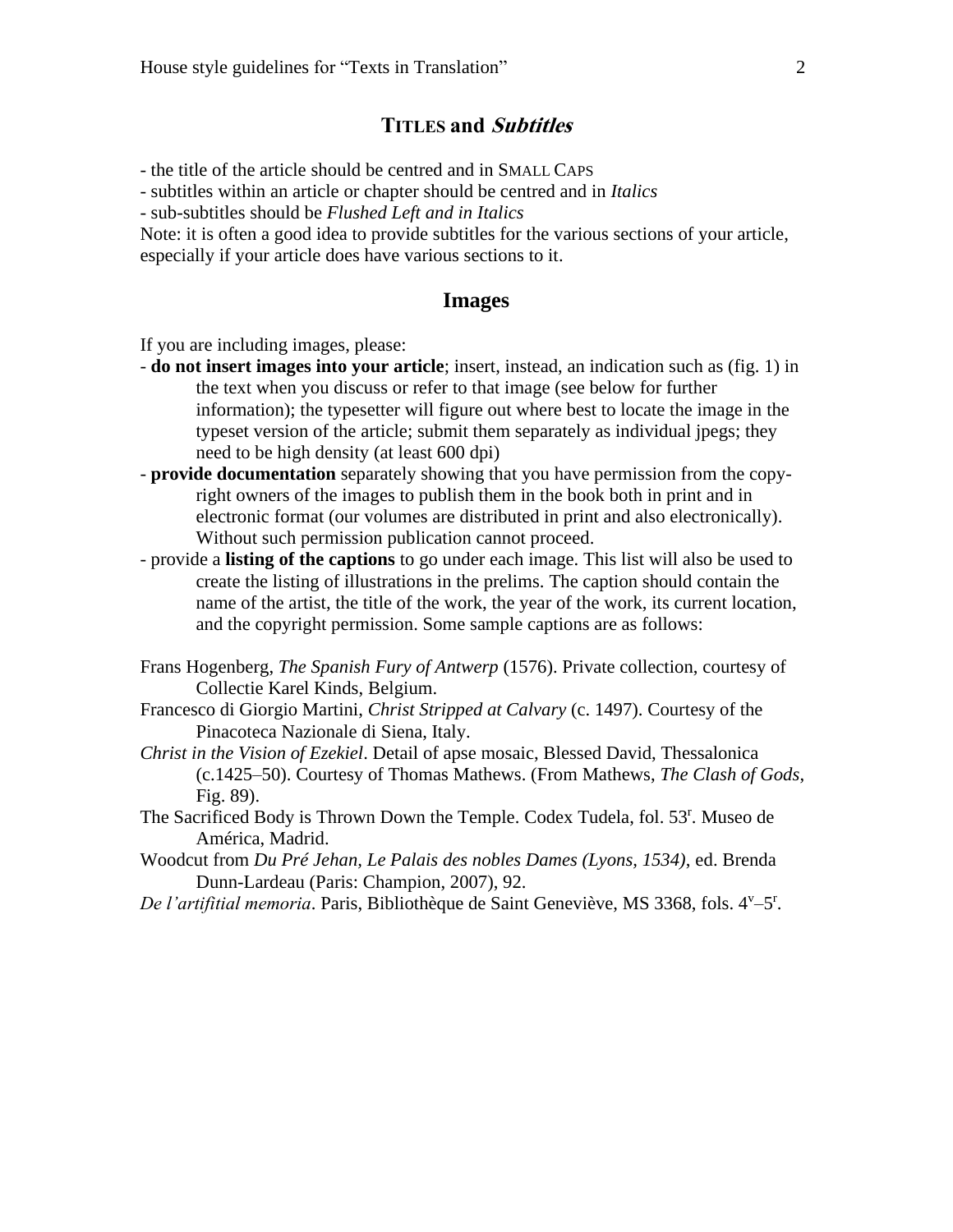### **TITLES and Subtitles**

- the title of the article should be centred and in SMALL CAPS

- subtitles within an article or chapter should be centred and in *Italics*

- sub-subtitles should be *Flushed Left and in Italics*

Note: it is often a good idea to provide subtitles for the various sections of your article, especially if your article does have various sections to it.

### **Images**

If you are including images, please:

- **do not insert images into your article**; insert, instead, an indication such as (fig. 1) in the text when you discuss or refer to that image (see below for further information); the typesetter will figure out where best to locate the image in the typeset version of the article; submit them separately as individual jpegs; they need to be high density (at least 600 dpi)
- **provide documentation** separately showing that you have permission from the copyright owners of the images to publish them in the book both in print and in electronic format (our volumes are distributed in print and also electronically). Without such permission publication cannot proceed.
- provide a **listing of the captions** to go under each image. This list will also be used to create the listing of illustrations in the prelims. The caption should contain the name of the artist, the title of the work, the year of the work, its current location, and the copyright permission. Some sample captions are as follows:
- Frans Hogenberg, *The Spanish Fury of Antwerp* (1576). Private collection, courtesy of Collectie Karel Kinds, Belgium.
- Francesco di Giorgio Martini, *Christ Stripped at Calvary* (c. 1497). Courtesy of the Pinacoteca Nazionale di Siena, Italy.
- *Christ in the Vision of Ezekiel*. Detail of apse mosaic, Blessed David, Thessalonica (c.1425–50). Courtesy of Thomas Mathews. (From Mathews, *The Clash of Gods*, Fig. 89).
- The Sacrificed Body is Thrown Down the Temple. Codex Tudela, fol. 53<sup>r</sup>. Museo de América, Madrid.
- Woodcut from *Du Pré Jehan, Le Palais des nobles Dames (Lyons, 1534)*, ed. Brenda Dunn-Lardeau (Paris: Champion, 2007), 92.
- De l'artifitial memoria. Paris, Bibliothèque de Saint Geneviève, MS 3368, fols. 4<sup>v</sup>-5<sup>r</sup>.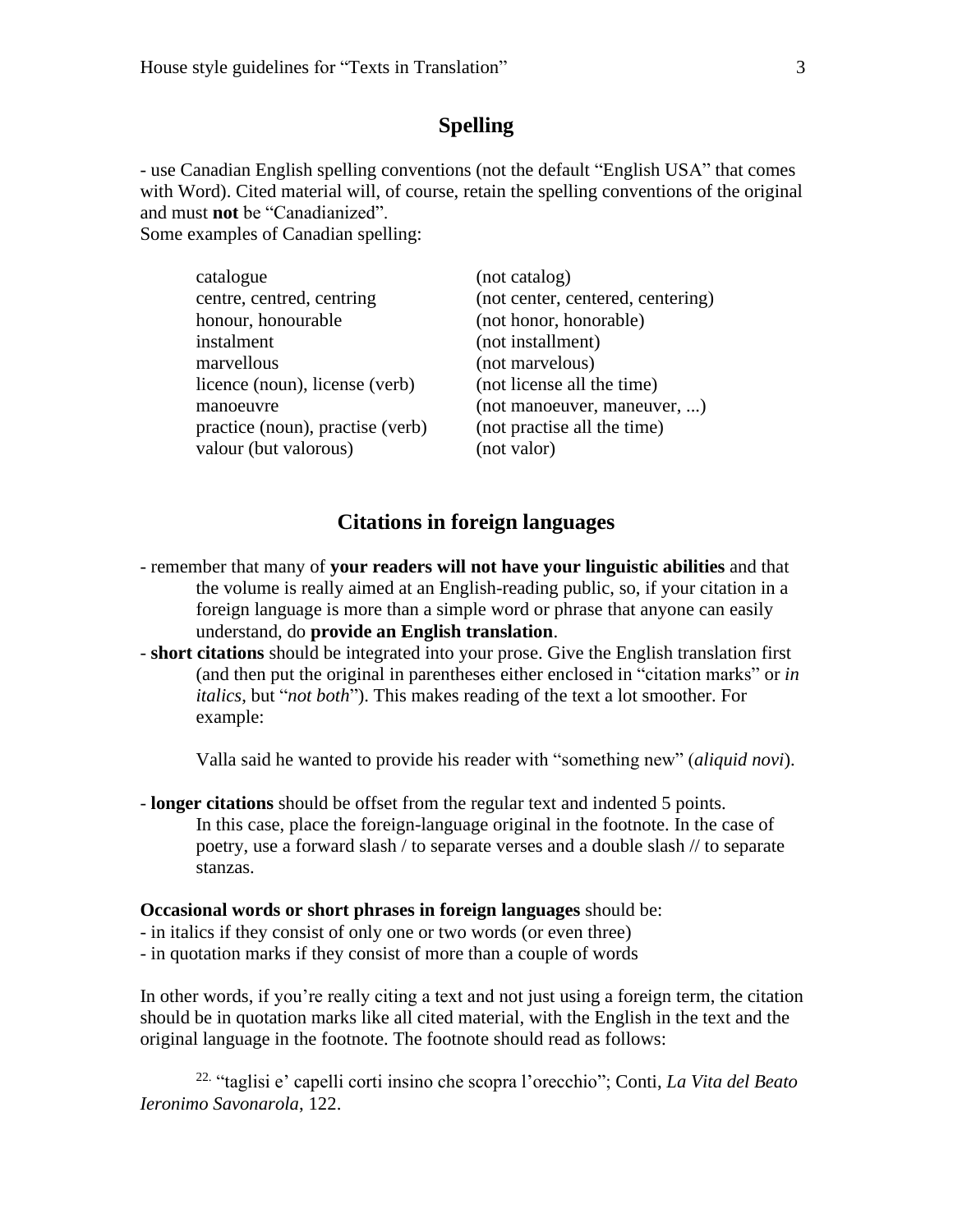# **Spelling**

- use Canadian English spelling conventions (not the default "English USA" that comes with Word). Cited material will, of course, retain the spelling conventions of the original and must **not** be "Canadianized". Some examples of Canadian spelling:

catalogue (not catalog) centre, centred, centring (not center, centered, centering) honour, honourable (not honor, honorable) instalment (not installment) marvellous (not marvelous) licence (noun), license (verb) (not license all the time) manoeuvre (not manoeuver, maneuver, ...) practice (noun), practise (verb) (not practise all the time) valour (but valorous) (not valor)

### **Citations in foreign languages**

- remember that many of **your readers will not have your linguistic abilities** and that the volume is really aimed at an English-reading public, so, if your citation in a foreign language is more than a simple word or phrase that anyone can easily understand, do **provide an English translation**.
- **short citations** should be integrated into your prose. Give the English translation first (and then put the original in parentheses either enclosed in "citation marks" or *in italics*, but "*not both*"). This makes reading of the text a lot smoother. For example:

Valla said he wanted to provide his reader with "something new" (*aliquid novi*).

- **longer citations** should be offset from the regular text and indented 5 points. In this case, place the foreign-language original in the footnote. In the case of poetry, use a forward slash / to separate verses and a double slash // to separate stanzas.

#### **Occasional words or short phrases in foreign languages** should be:

- in italics if they consist of only one or two words (or even three)
- in quotation marks if they consist of more than a couple of words

In other words, if you're really citing a text and not just using a foreign term, the citation should be in quotation marks like all cited material, with the English in the text and the original language in the footnote. The footnote should read as follows:

22. "taglisi e' capelli corti insino che scopra l'orecchio"; Conti, *La Vita del Beato Ieronimo Savonarola*, 122.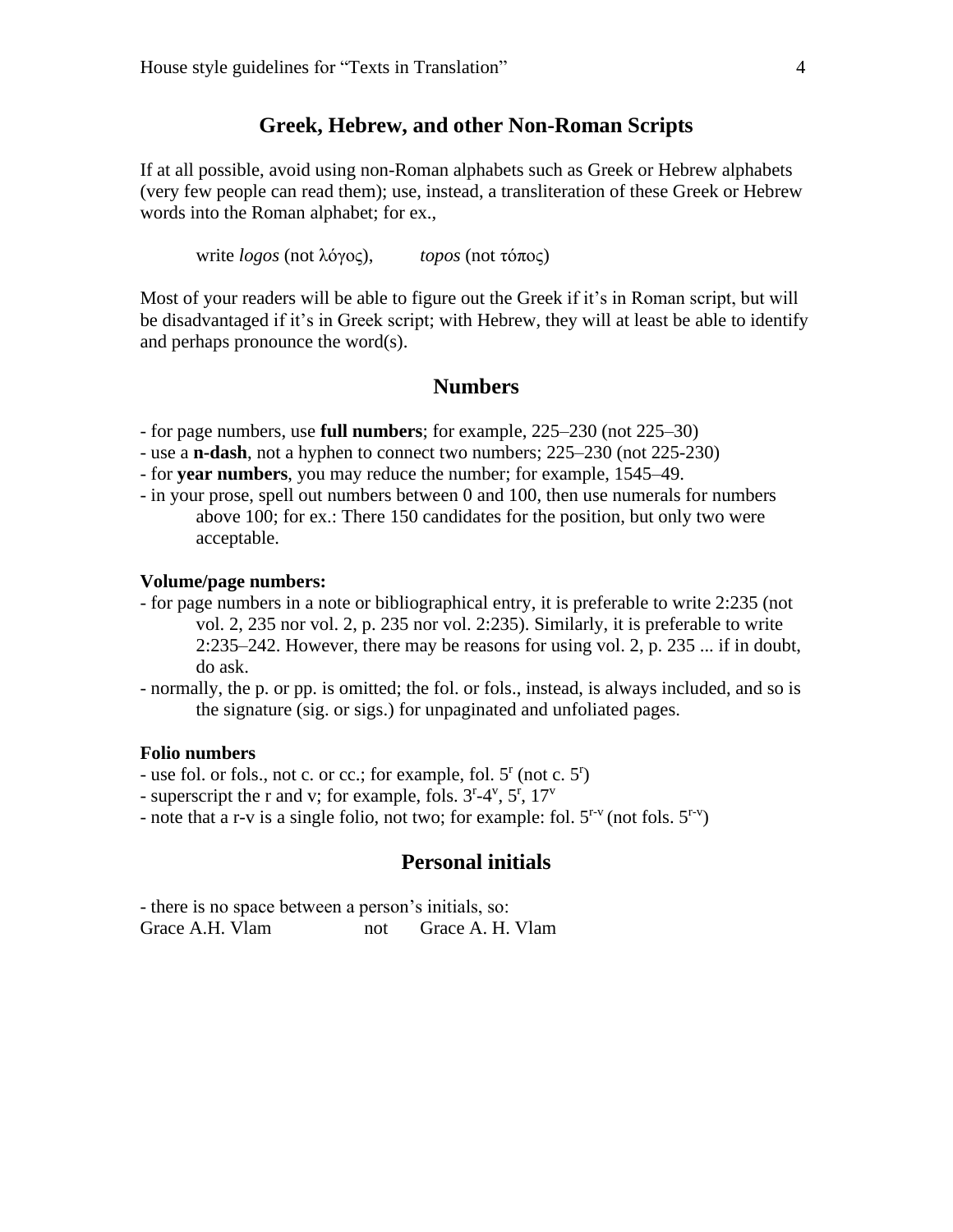### **Greek, Hebrew, and other Non-Roman Scripts**

If at all possible, avoid using non-Roman alphabets such as Greek or Hebrew alphabets (very few people can read them); use, instead, a transliteration of these Greek or Hebrew words into the Roman alphabet; for ex.,

write *logos* (not λόγος), *topos* (not τόπος)

Most of your readers will be able to figure out the Greek if it's in Roman script, but will be disadvantaged if it's in Greek script; with Hebrew, they will at least be able to identify and perhaps pronounce the word(s).

### **Numbers**

- for page numbers, use **full numbers**; for example, 225–230 (not 225–30)

- use a **n-dash**, not a hyphen to connect two numbers; 225–230 (not 225-230)
- for **year numbers**, you may reduce the number; for example, 1545–49.
- in your prose, spell out numbers between 0 and 100, then use numerals for numbers above 100; for ex.: There 150 candidates for the position, but only two were acceptable.

#### **Volume/page numbers:**

- for page numbers in a note or bibliographical entry, it is preferable to write 2:235 (not vol. 2, 235 nor vol. 2, p. 235 nor vol. 2:235). Similarly, it is preferable to write  $2:235-242$ . However, there may be reasons for using vol. 2, p. 235 ... if in doubt, do ask.
- normally, the p. or pp. is omitted; the fol. or fols., instead, is always included, and so is the signature (sig. or sigs.) for unpaginated and unfoliated pages.

### **Folio numbers**

- use fol. or fols., not c. or cc.; for example, fol. 5<sup>r</sup> (not c. 5<sup>r</sup>)

- superscript the r and v; for example, fols.  $3<sup>r</sup>-4<sup>v</sup>$ ,  $5<sup>r</sup>$ ,  $17<sup>v</sup>$ 

- note that a r-v is a single folio, not two; for example: fol.  $5^{r-v}$  (not fols.  $5^{r-v}$ )

# **Personal initials**

- there is no space between a person's initials, so: Grace A.H. Vlam not Grace A.H. Vlam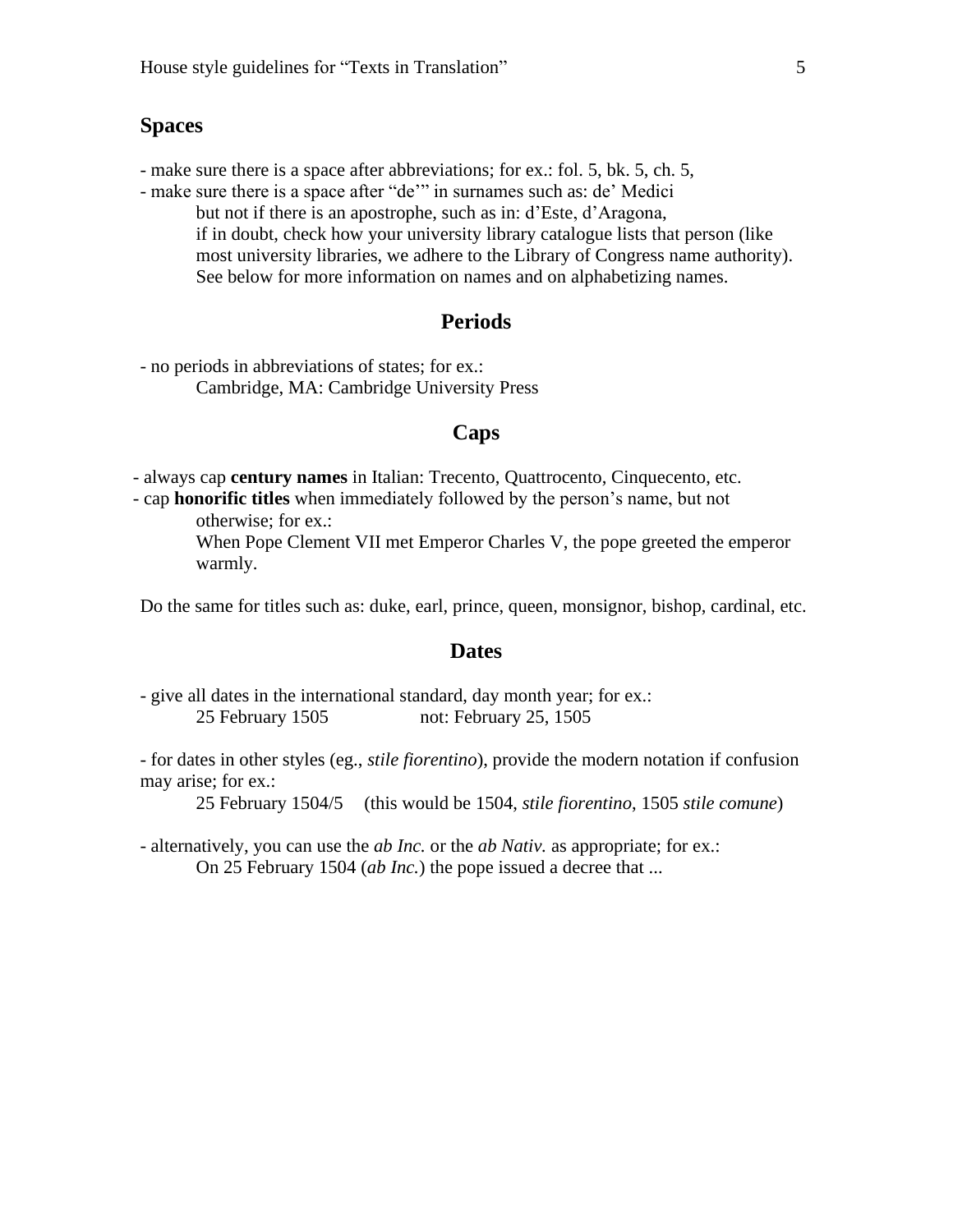### **Spaces**

- make sure there is a space after abbreviations; for ex.: fol. 5, bk. 5, ch. 5,

- make sure there is a space after "de'" in surnames such as: de' Medici but not if there is an apostrophe, such as in: d'Este, d'Aragona, if in doubt, check how your university library catalogue lists that person (like most university libraries, we adhere to the Library of Congress name authority). See below for more information on names and on alphabetizing names.

### **Periods**

- no periods in abbreviations of states; for ex.: Cambridge, MA: Cambridge University Press

### **Caps**

- always cap **century names** in Italian: Trecento, Quattrocento, Cinquecento, etc.

- cap **honorific titles** when immediately followed by the person's name, but not otherwise; for ex.:

> When Pope Clement VII met Emperor Charles V, the pope greeted the emperor warmly.

Do the same for titles such as: duke, earl, prince, queen, monsignor, bishop, cardinal, etc.

### **Dates**

- give all dates in the international standard, day month year; for ex.: 25 February 1505 not: February 25, 1505

- for dates in other styles (eg., *stile fiorentino*), provide the modern notation if confusion may arise; for ex.:

25 February 1504/5 (this would be 1504, *stile fiorentino*, 1505 *stile comune*)

- alternatively, you can use the *ab Inc.* or the *ab Nativ.* as appropriate; for ex.: On 25 February 1504 (*ab Inc.*) the pope issued a decree that ...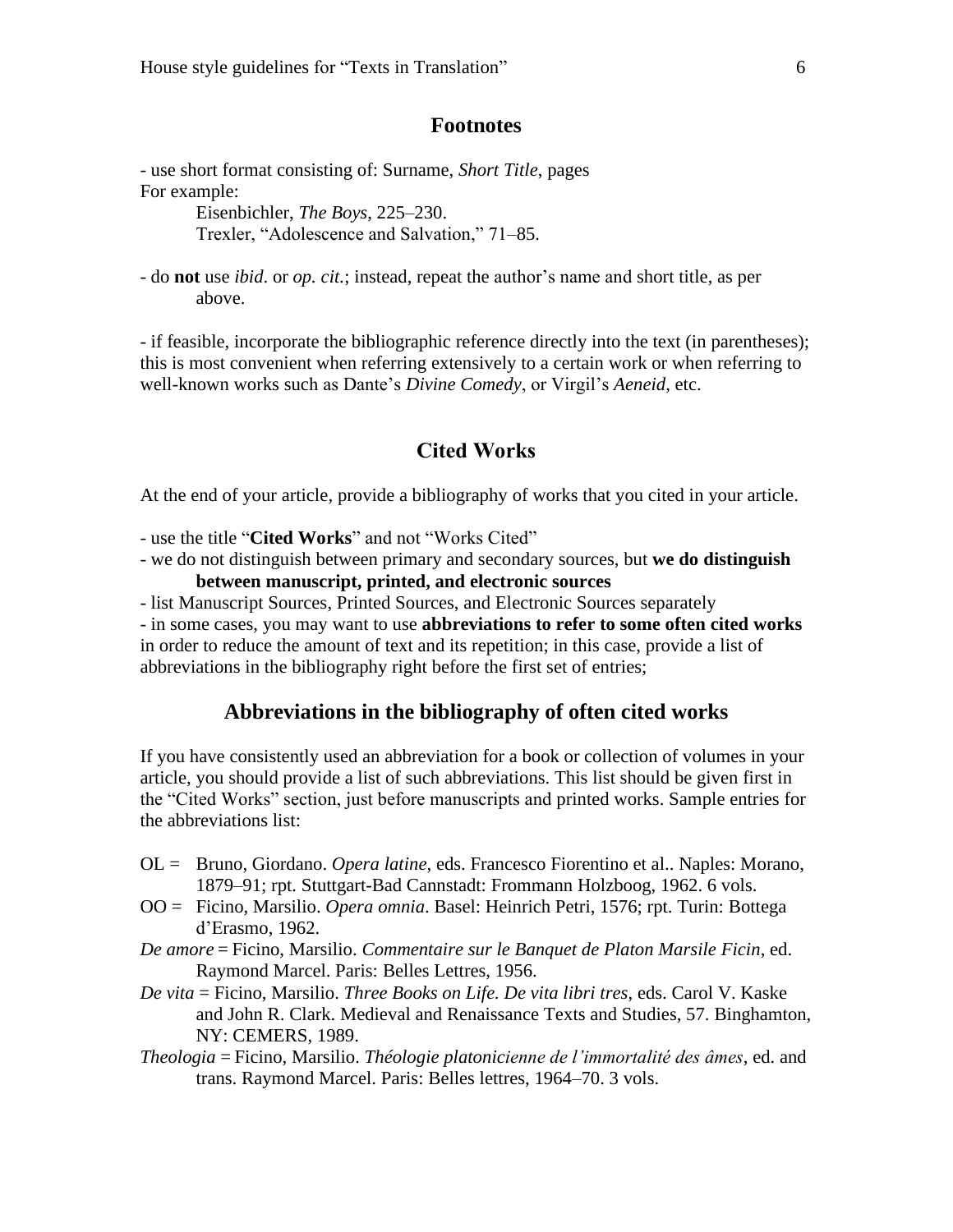### **Footnotes**

- use short format consisting of: Surname, *Short Title*, pages For example:

> Eisenbichler, *The Boys*, 225–230. Trexler, "Adolescence and Salvation," 71–85.

- do **not** use *ibid*. or *op. cit.*; instead, repeat the author's name and short title, as per above.

- if feasible, incorporate the bibliographic reference directly into the text (in parentheses); this is most convenient when referring extensively to a certain work or when referring to well-known works such as Dante's *Divine Comedy*, or Virgil's *Aeneid*, etc.

### **Cited Works**

At the end of your article, provide a bibliography of works that you cited in your article.

- use the title "**Cited Works**" and not "Works Cited"
- we do not distinguish between primary and secondary sources, but **we do distinguish between manuscript, printed, and electronic sources**
- list Manuscript Sources, Printed Sources, and Electronic Sources separately

- in some cases, you may want to use **abbreviations to refer to some often cited works** in order to reduce the amount of text and its repetition; in this case, provide a list of abbreviations in the bibliography right before the first set of entries;

### **Abbreviations in the bibliography of often cited works**

If you have consistently used an abbreviation for a book or collection of volumes in your article, you should provide a list of such abbreviations. This list should be given first in the "Cited Works" section, just before manuscripts and printed works. Sample entries for the abbreviations list:

- OL = Bruno, Giordano. *Opera latine*, eds. Francesco Fiorentino et al.. Naples: Morano, 1879–91; rpt. Stuttgart-Bad Cannstadt: Frommann Holzboog, 1962. 6 vols.
- OO = Ficino, Marsilio. *Opera omnia*. Basel: Heinrich Petri, 1576; rpt. Turin: Bottega d'Erasmo, 1962.
- *De amore* = Ficino, Marsilio. *Commentaire sur le Banquet de Platon Marsile Ficin*, ed. Raymond Marcel. Paris: Belles Lettres, 1956.
- *De vita* = Ficino, Marsilio. *Three Books on Life. De vita libri tres*, eds. Carol V. Kaske and John R. Clark. Medieval and Renaissance Texts and Studies, 57. Binghamton, NY: CEMERS, 1989.
- *Theologia* = Ficino, Marsilio. *Théologie platonicienne de l'immortalité des âmes*, ed. and trans. Raymond Marcel. Paris: Belles lettres, 1964–70. 3 vols.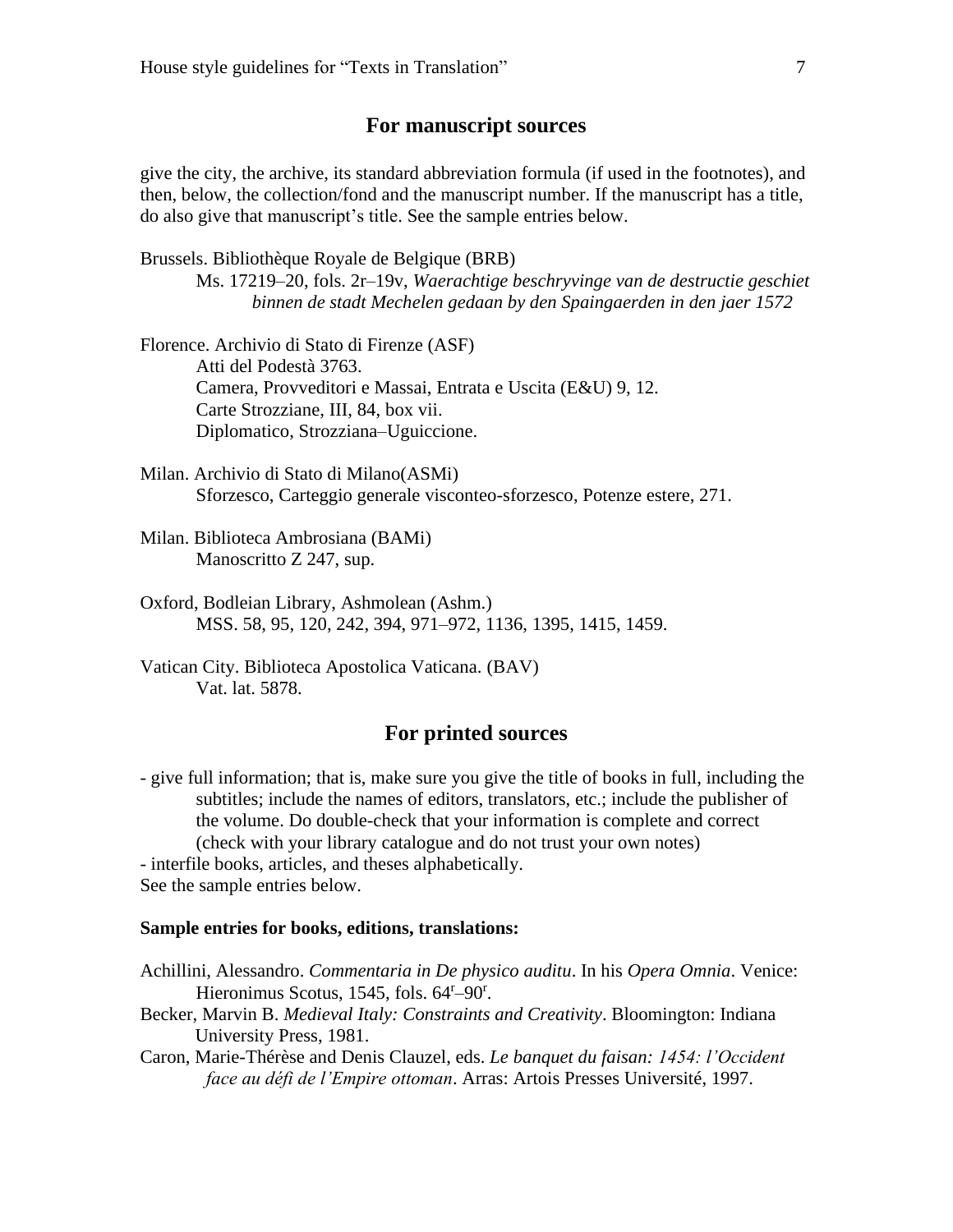### **For manuscript sources**

give the city, the archive, its standard abbreviation formula (if used in the footnotes), and then, below, the collection/fond and the manuscript number. If the manuscript has a title, do also give that manuscript's title. See the sample entries below.

Brussels. Bibliothèque Royale de Belgique (BRB)

Ms. 17219–20, fols. 2r–19v, *Waerachtige beschryvinge van de destructie geschiet binnen de stadt Mechelen gedaan by den Spaingaerden in den jaer 1572*

Florence. Archivio di Stato di Firenze (ASF) Atti del Podestà 3763. Camera, Provveditori e Massai, Entrata e Uscita (E&U) 9, 12. Carte Strozziane, III, 84, box vii. Diplomatico, Strozziana–Uguiccione.

- Milan. Archivio di Stato di Milano(ASMi) Sforzesco, Carteggio generale visconteo-sforzesco, Potenze estere, 271.
- Milan. Biblioteca Ambrosiana (BAMi) Manoscritto Z 247, sup.
- Oxford, Bodleian Library, Ashmolean (Ashm.) MSS. 58, 95, 120, 242, 394, 971–972, 1136, 1395, 1415, 1459.
- Vatican City. Biblioteca Apostolica Vaticana. (BAV) Vat. lat. 5878.

# **For printed sources**

- give full information; that is, make sure you give the title of books in full, including the subtitles; include the names of editors, translators, etc.; include the publisher of the volume. Do double-check that your information is complete and correct (check with your library catalogue and do not trust your own notes) - interfile books, articles, and theses alphabetically. See the sample entries below.

#### **Sample entries for books, editions, translations:**

- Achillini, Alessandro. *Commentaria in De physico auditu*. In his *Opera Omnia*. Venice: Hieronimus Scotus, 1545, fols. 64<sup>r</sup>-90<sup>r</sup>.
- Becker, Marvin B. *Medieval Italy: Constraints and Creativity*. Bloomington: Indiana University Press, 1981.
- Caron, Marie-Thérèse and Denis Clauzel, eds. *Le banquet du faisan: 1454: l'Occident face au défi de l'Empire ottoman*. Arras: Artois Presses Université, 1997.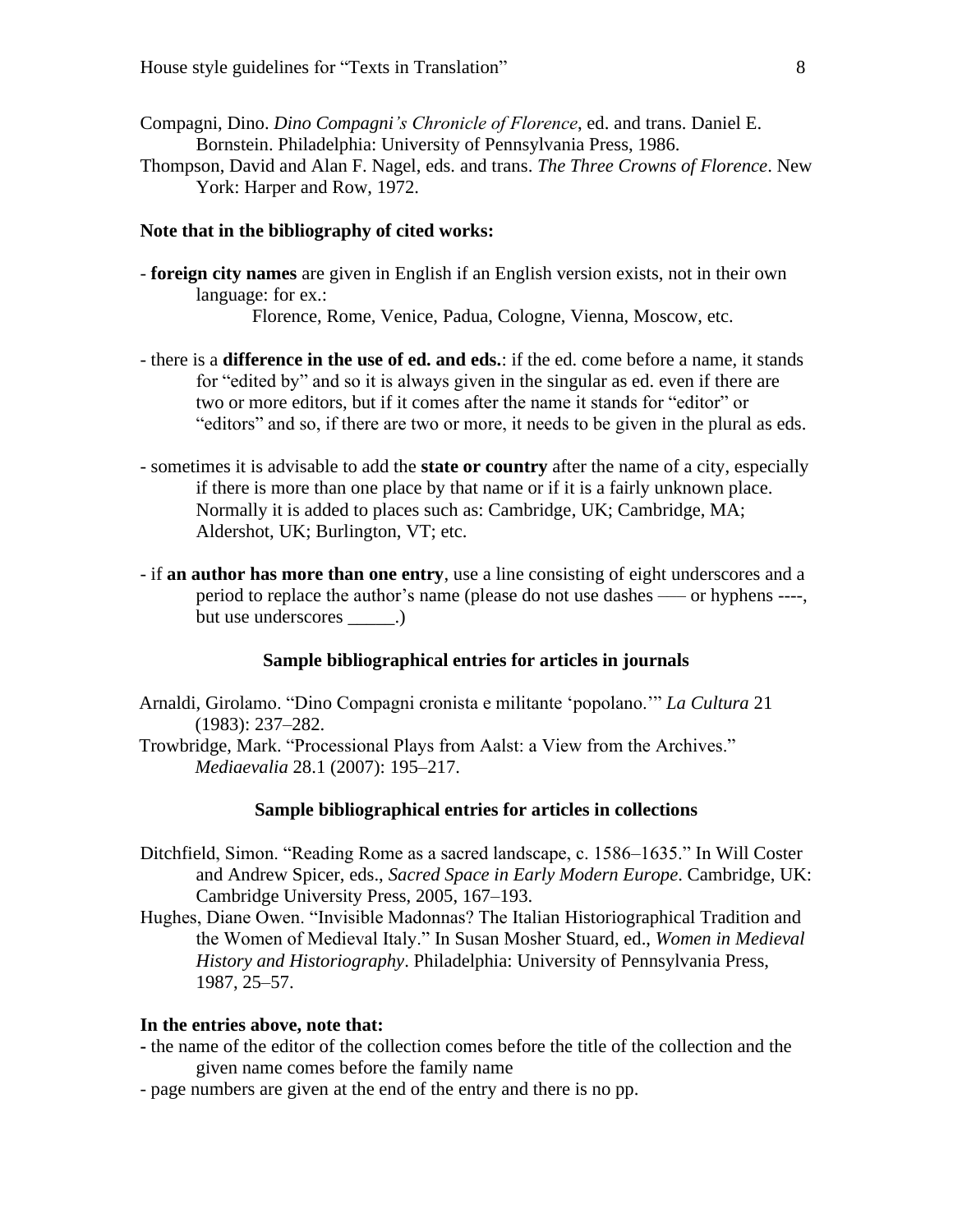- Compagni, Dino. *Dino Compagni's Chronicle of Florence*, ed. and trans. Daniel E. Bornstein. Philadelphia: University of Pennsylvania Press, 1986.
- Thompson, David and Alan F. Nagel, eds. and trans. *The Three Crowns of Florence*. New York: Harper and Row, 1972.

#### **Note that in the bibliography of cited works:**

- **foreign city names** are given in English if an English version exists, not in their own language: for ex.:

Florence, Rome, Venice, Padua, Cologne, Vienna, Moscow, etc.

- there is a **difference in the use of ed. and eds.**: if the ed. come before a name, it stands for "edited by" and so it is always given in the singular as ed. even if there are two or more editors, but if it comes after the name it stands for "editor" or "editors" and so, if there are two or more, it needs to be given in the plural as eds.
- sometimes it is advisable to add the **state or country** after the name of a city, especially if there is more than one place by that name or if it is a fairly unknown place. Normally it is added to places such as: Cambridge, UK; Cambridge, MA; Aldershot, UK; Burlington, VT; etc.
- if **an author has more than one entry**, use a line consisting of eight underscores and a period to replace the author's name (please do not use dashes ––– or hyphens ----, but use underscores  $\qquad \qquad .)$

### **Sample bibliographical entries for articles in journals**

- Arnaldi, Girolamo. "Dino Compagni cronista e militante 'popolano.'" *La Cultura* 21 (1983): 237–282.
- Trowbridge, Mark. "Processional Plays from Aalst: a View from the Archives." *Mediaevalia* 28.1 (2007): 195–217.

#### **Sample bibliographical entries for articles in collections**

- Ditchfield, Simon. "Reading Rome as a sacred landscape, c. 1586–1635." In Will Coster and Andrew Spicer, eds., *Sacred Space in Early Modern Europe*. Cambridge, UK: Cambridge University Press, 2005, 167–193.
- Hughes, Diane Owen. "Invisible Madonnas? The Italian Historiographical Tradition and the Women of Medieval Italy." In Susan Mosher Stuard, ed., *Women in Medieval History and Historiography*. Philadelphia: University of Pennsylvania Press, 1987, 25–57.

#### **In the entries above, note that:**

- **-** the name of the editor of the collection comes before the title of the collection and the given name comes before the family name
- page numbers are given at the end of the entry and there is no pp.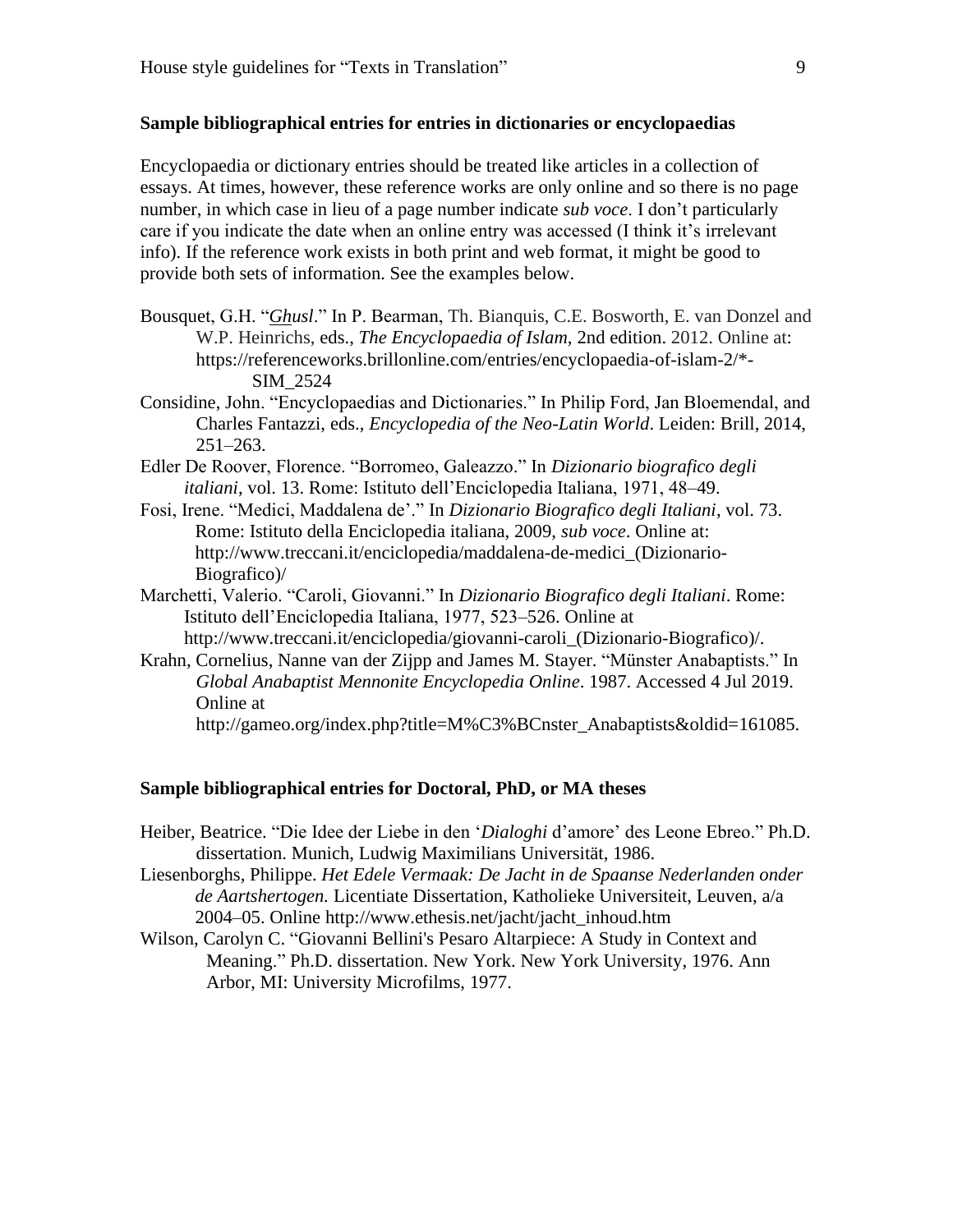#### **Sample bibliographical entries for entries in dictionaries or encyclopaedias**

Encyclopaedia or dictionary entries should be treated like articles in a collection of essays. At times, however, these reference works are only online and so there is no page number, in which case in lieu of a page number indicate *sub voce*. I don't particularly care if you indicate the date when an online entry was accessed (I think it's irrelevant info). If the reference work exists in both print and web format, it might be good to provide both sets of information. See the examples below.

- Bousquet, G.H. "*Ghusl*." In P. Bearman, Th. Bianquis, C.E. Bosworth, E. van Donzel and W.P. Heinrichs, eds., *The Encyclopaedia of Islam,* 2nd edition. 2012. Online at: https://referenceworks.brillonline.com/entries/encyclopaedia-of-islam-2/\*- SIM\_2524
- Considine, John. "Encyclopaedias and Dictionaries." In Philip Ford, Jan Bloemendal, and Charles Fantazzi, eds., *Encyclopedia of the Neo-Latin World*. Leiden: Brill, 2014,  $251 - 263$ .
- Edler De Roover, Florence. "Borromeo, Galeazzo." In *Dizionario biografico degli italiani*, vol. 13. Rome: Istituto dell'Enciclopedia Italiana, 1971, 48–49.
- Fosi, Irene. "Medici, Maddalena de'." In *Dizionario Biografico degli Italiani*, vol. 73. Rome: Istituto della Enciclopedia italiana, 2009, *sub voce*. Online at: http://www.treccani.it/enciclopedia/maddalena-de-medici\_(Dizionario-Biografico)/
- Marchetti, Valerio. "Caroli, Giovanni." In *Dizionario Biografico degli Italiani*. Rome: Istituto dell'Enciclopedia Italiana, 1977, 523–526. Online at http://www.treccani.it/enciclopedia/giovanni-caroli\_(Dizionario-Biografico)/.
- Krahn, Cornelius, Nanne van der Zijpp and James M. Stayer. "Münster Anabaptists." In *Global Anabaptist Mennonite Encyclopedia Online*. 1987. Accessed 4 Jul 2019. Online at

http://gameo.org/index.php?title=M%C3%BCnster\_Anabaptists&oldid=161085.

#### **Sample bibliographical entries for Doctoral, PhD, or MA theses**

- Heiber, Beatrice. "Die Idee der Liebe in den '*Dialoghi* d'amore' des Leone Ebreo." Ph.D. dissertation. Munich, Ludwig Maximilians Universität, 1986.
- Liesenborghs, Philippe. *Het Edele Vermaak: De Jacht in de Spaanse Nederlanden onder de Aartshertogen.* Licentiate Dissertation, Katholieke Universiteit, Leuven, a/a 2004–05. Online http://www.ethesis.net/jacht/jacht\_inhoud.htm
- Wilson, Carolyn C. "Giovanni Bellini's Pesaro Altarpiece: A Study in Context and Meaning." Ph.D. dissertation. New York. New York University, 1976. Ann Arbor, MI: University Microfilms, 1977.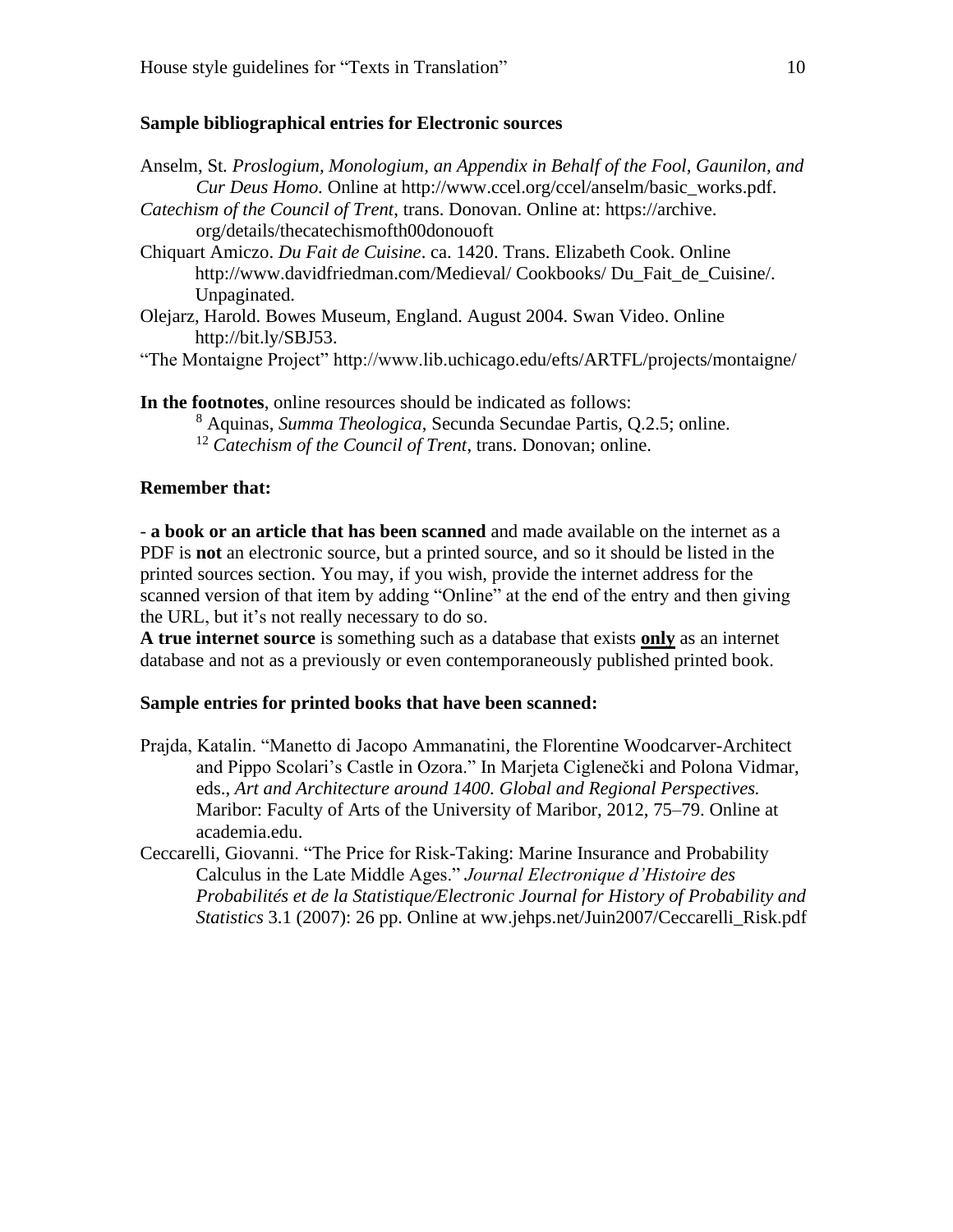#### **Sample bibliographical entries for Electronic sources**

Anselm, St*. Proslogium, Monologium, an Appendix in Behalf of the Fool, Gaunilon, and Cur Deus Homo.* Online at http://www.ccel.org/ccel/anselm/basic\_works.pdf. *Catechism of the Council of Trent*, trans. Donovan. Online at: https://archive. org/details/thecatechismofth00donouoft Chiquart Amiczo. *Du Fait de Cuisine*. ca. 1420. Trans. Elizabeth Cook. Online http://www.davidfriedman.com/Medieval/ Cookbooks/ Du\_Fait\_de\_Cuisine/. Unpaginated. Olejarz, Harold. Bowes Museum, England. August 2004. Swan Video. Online http://bit.ly/SBJ53.

"The Montaigne Project" http://www.lib.uchicago.edu/efts/ARTFL/projects/montaigne/

**In the footnotes**, online resources should be indicated as follows: <sup>8</sup> Aquinas, *Summa Theologica*, Secunda Secundae Partis, Q.2.5; online. <sup>12</sup> *Catechism of the Council of Trent*, trans. Donovan; online.

### **Remember that:**

- **a book or an article that has been scanned** and made available on the internet as a PDF is **not** an electronic source, but a printed source, and so it should be listed in the printed sources section. You may, if you wish, provide the internet address for the scanned version of that item by adding "Online" at the end of the entry and then giving the URL, but it's not really necessary to do so.

**A true internet source** is something such as a database that exists **only** as an internet database and not as a previously or even contemporaneously published printed book.

#### **Sample entries for printed books that have been scanned:**

- Prajda, Katalin. "Manetto di Jacopo Ammanatini, the Florentine Woodcarver-Architect and Pippo Scolari's Castle in Ozora." In Marjeta Ciglenečki and Polona Vidmar, eds., *Art and Architecture around 1400. Global and Regional Perspectives.*  Maribor: Faculty of Arts of the University of Maribor, 2012, 75–79. Online at academia.edu.
- Ceccarelli, Giovanni. "The Price for Risk-Taking: Marine Insurance and Probability Calculus in the Late Middle Ages." *Journal Electronique d'Histoire des Probabilités et de la Statistique/Electronic Journal for History of Probability and Statistics* 3.1 (2007): 26 pp. Online at ww.jehps.net/Juin2007/Ceccarelli Risk.pdf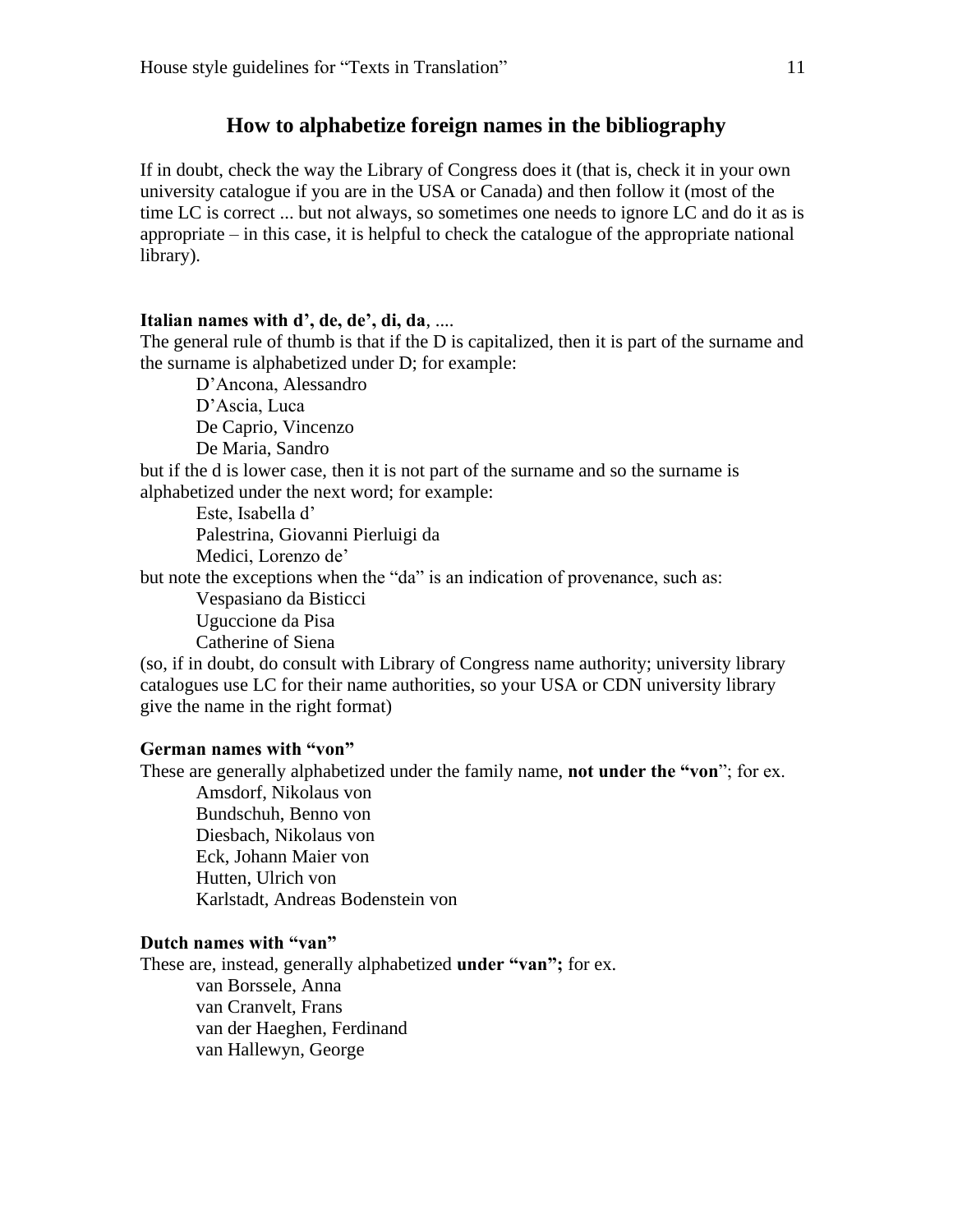### **How to alphabetize foreign names in the bibliography**

If in doubt, check the way the Library of Congress does it (that is, check it in your own university catalogue if you are in the USA or Canada) and then follow it (most of the time LC is correct ... but not always, so sometimes one needs to ignore LC and do it as is appropriate – in this case, it is helpful to check the catalogue of the appropriate national library).

#### **Italian names with d', de, de', di, da**, ....

The general rule of thumb is that if the D is capitalized, then it is part of the surname and the surname is alphabetized under D; for example:

D'Ancona, Alessandro D'Ascia, Luca De Caprio, Vincenzo De Maria, Sandro but if the d is lower case, then it is not part of the surname and so the surname is alphabetized under the next word; for example: Este, Isabella d' Palestrina, Giovanni Pierluigi da Medici, Lorenzo de'

but note the exceptions when the "da" is an indication of provenance, such as:

Vespasiano da Bisticci Uguccione da Pisa Catherine of Siena

(so, if in doubt, do consult with Library of Congress name authority; university library catalogues use LC for their name authorities, so your USA or CDN university library give the name in the right format)

### **German names with "von"**

These are generally alphabetized under the family name, **not under the "von**"; for ex.

Amsdorf, Nikolaus von Bundschuh, Benno von Diesbach, Nikolaus von Eck, Johann Maier von Hutten, Ulrich von Karlstadt, Andreas Bodenstein von

### **Dutch names with "van"**

These are, instead, generally alphabetized **under "van";** for ex. van Borssele, Anna van Cranvelt, Frans van der Haeghen, Ferdinand van Hallewyn, George